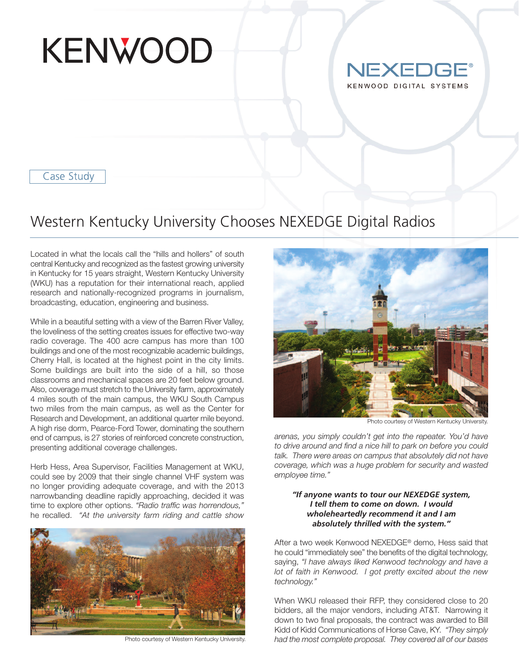



Case Study

## Western Kentucky University Chooses NEXEDGE Digital Radios

Located in what the locals call the "hills and hollers" of south central Kentucky and recognized as the fastest growing university in Kentucky for 15 years straight, Western Kentucky University (WKU) has a reputation for their international reach, applied research and nationally-recognized programs in journalism, broadcasting, education, engineering and business.

While in a beautiful setting with a view of the Barren River Valley, the loveliness of the setting creates issues for effective two-way radio coverage. The 400 acre campus has more than 100 buildings and one of the most recognizable academic buildings, Cherry Hall, is located at the highest point in the city limits. Some buildings are built into the side of a hill, so those classrooms and mechanical spaces are 20 feet below ground. Also, coverage must stretch to the University farm, approximately 4 miles south of the main campus, the WKU South Campus two miles from the main campus, as well as the Center for Research and Development, an additional quarter mile beyond. A high rise dorm, Pearce-Ford Tower, dominating the southern end of campus, is 27 stories of reinforced concrete construction, presenting additional coverage challenges.

Herb Hess, Area Supervisor, Facilities Management at WKU, could see by 2009 that their single channel VHF system was no longer providing adequate coverage, and with the 2013 narrowbanding deadline rapidly approaching, decided it was time to explore other options. *"Radio traffic was horrendous,"* he recalled. *"At the university farm riding and cattle show*



Photo courtesy of Western Kentucky University.



Photo courtesy of Western Kentucky University.

*arenas, you simply couldn't get into the repeater. You'd have to drive around and find a nice hill to park on before you could talk. There were areas on campus that absolutely did not have coverage, which was a huge problem for security and wasted employee time."*

## *"If anyone wants to tour our NEXEDGE system, I tell them to come on down. I would wholeheartedly recommend it and I am absolutely thrilled with the system."*

After a two week Kenwood NEXEDGE® demo, Hess said that he could "immediately see" the benefits of the digital technology, saying, *"I have always liked Kenwood technology and have a lot of faith in Kenwood. I got pretty excited about the new technology."*

When WKU released their RFP, they considered close to 20 bidders, all the major vendors, including AT&T. Narrowing it down to two final proposals, the contract was awarded to Bill Kidd of Kidd Communications of Horse Cave, KY. *"They simply had the most complete proposal. They covered all of our bases*